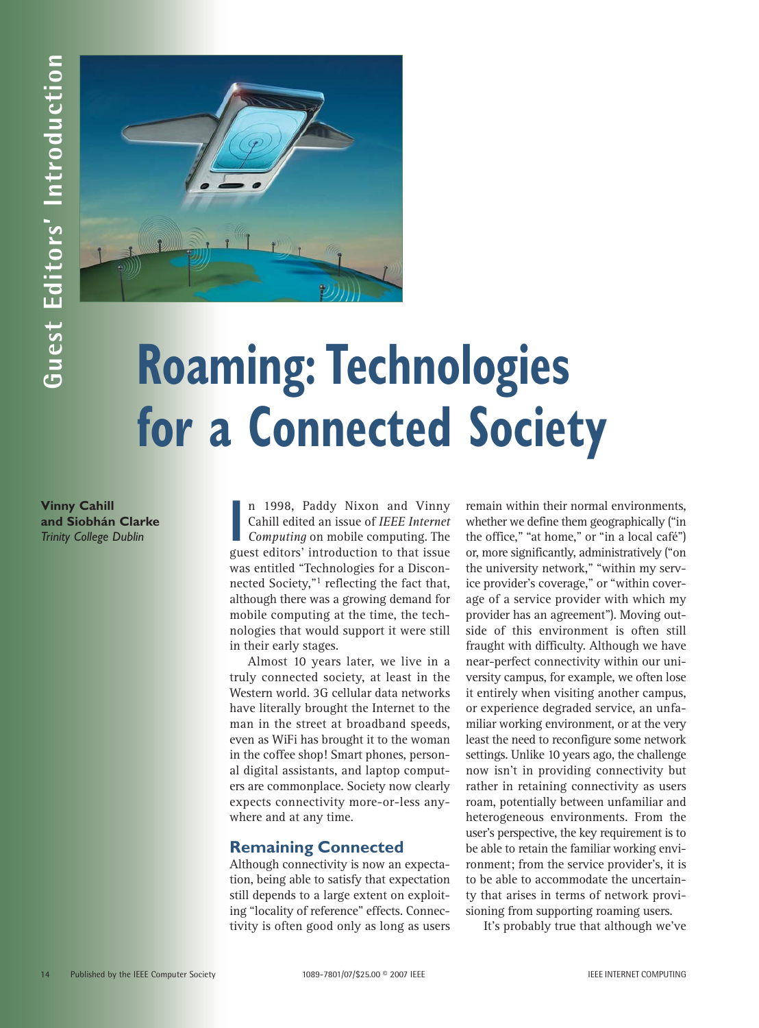

## **Roaming: Technologies for a Connected Society**

**Vinny Cahill and Siobhán Clarke** *Trinity College Dublin*

II 1996, Faudy NIXON and VINITY<br>Cahill edited an issue of *IEEE Internet*<br>*Computing* on mobile computing. The<br>guest editors' introduction to that issue n 1998, Paddy Nixon and Vinny Cahill edited an issue of *IEEE Internet Computing* on mobile computing. The was entitled "Technologies for a Disconnected Society,"<sup>1</sup> reflecting the fact that, although there was a growing demand for mobile computing at the time, the technologies that would support it were still in their early stages.

Almost 10 years later, we live in a truly connected society, at least in the Western world. 3G cellular data networks have literally brought the Internet to the man in the street at broadband speeds, even as WiFi has brought it to the woman in the coffee shop! Smart phones, personal digital assistants, and laptop computers are commonplace. Society now clearly expects connectivity more-or-less anywhere and at any time.

## **Remaining Connected**

Although connectivity is now an expectation, being able to satisfy that expectation still depends to a large extent on exploiting "locality of reference" effects. Connectivity is often good only as long as users

remain within their normal environments, whether we define them geographically ("in the office," "at home," or "in a local café") or, more significantly, administratively ("on the university network," "within my service provider's coverage," or "within coverage of a service provider with which my provider has an agreement"). Moving outside of this environment is often still fraught with difficulty. Although we have near-perfect connectivity within our university campus, for example, we often lose it entirely when visiting another campus, or experience degraded service, an unfamiliar working environment, or at the very least the need to reconfigure some network settings. Unlike 10 years ago, the challenge now isn't in providing connectivity but rather in retaining connectivity as users roam, potentially between unfamiliar and heterogeneous environments. From the user's perspective, the key requirement is to be able to retain the familiar working environment; from the service provider's, it is to be able to accommodate the uncertainty that arises in terms of network provisioning from supporting roaming users. **14 Published By The Chnock Society and Society 1089-7802**<br> **14 Published By Computer Society 1089-78021/2007**<br> **14 Computer Society 1089-78021/2007**<br> **14 Computer Society 1089-78021/2007**<br> **14 Computer Society Advances An** 

It's probably true that although we've